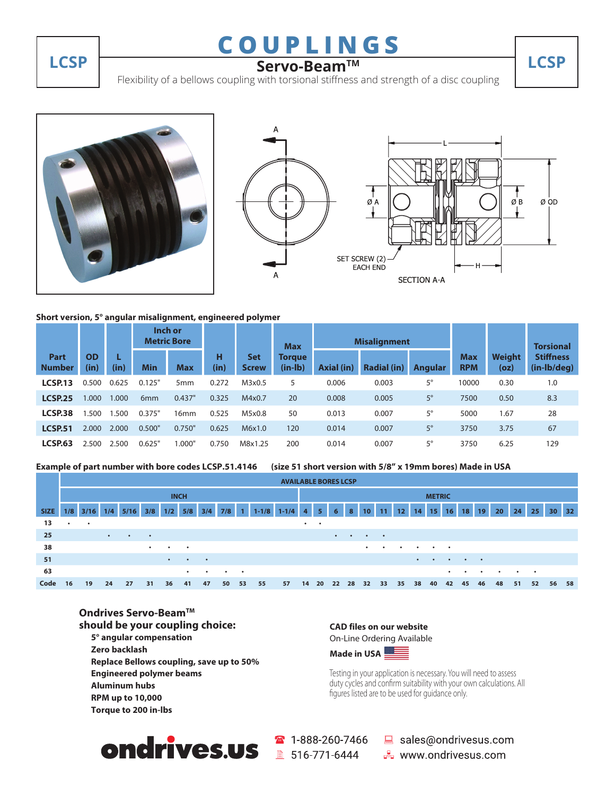# **COUPLINGS**

## **LCSP Servo-BeamTM LCSP**

Flexibility of a bellows coupling with torsional stiffness and strength of a disc coupling







#### **Short version, 5° angular misalignment, engineered polymer**

|                       |                   |       | Inch or<br><b>Metric Bore</b> |                  |           |                            | <b>Max</b>                 |                   | <b>Misalignment</b> |                |                          |                | <b>Torsional</b>                |
|-----------------------|-------------------|-------|-------------------------------|------------------|-----------|----------------------------|----------------------------|-------------------|---------------------|----------------|--------------------------|----------------|---------------------------------|
| Part<br><b>Number</b> | <b>OD</b><br>(in) | (in)  | <b>Min</b>                    | <b>Max</b>       | н<br>(in) | <b>Set</b><br><b>Screw</b> | <b>Torgue</b><br>$(in-lb)$ | <b>Axial (in)</b> | <b>Radial (in)</b>  | <b>Angular</b> | <b>Max</b><br><b>RPM</b> | Weiaht<br>(oz) | <b>Stiffness</b><br>(in-lb/deg) |
| LCSP.13               | 0.500             | 0.625 | 0.125"                        | 5 <sub>mm</sub>  | 0.272     | M3x0.5                     | 5                          | 0.006             | 0.003               | 5°             | 10000                    | 0.30           | 1.0                             |
| <b>LCSP.25</b>        | .000              | .000  | 6 <sub>mm</sub>               | 0.437"           | 0.325     | M4x0.7                     | 20                         | 0.008             | 0.005               | $5^{\circ}$    | 7500                     | 0.50           | 8.3                             |
| LCSP <sub>38</sub>    | .500              | .500  | 0.375"                        | 16 <sub>mm</sub> | 0.525     | M5x0.8                     | 50                         | 0.013             | 0.007               | 5°             | 5000                     | 1.67           | 28                              |
| <b>LCSP.51</b>        | 2.000             | 2.000 | 0.500"                        | 0.750"           | 0.625     | M6x1.0                     | 120                        | 0.014             | 0.007               | 5°             | 3750                     | 3.75           | 67                              |
| <b>LCSP.63</b>        | 2.500             | 2.500 | 0.625"                        | 0.000"           | 0.750     | M8x1.25                    | 200                        | 0.014             | 0.007               | 5°             | 3750                     | 6.25           | 129                             |

```
Example of part number with bore codes LCSP.51.4146 (size 51 short version with 5/8" x 19mm bores) Made in USA
```

|             |             | <b>AVAILABLE BORES LCSP</b> |           |           |           |           |           |           |           |               |           |           |                 |                |           |                |                 |           |           |           |                 |           |           |                 |           |           |           |                 |    |
|-------------|-------------|-----------------------------|-----------|-----------|-----------|-----------|-----------|-----------|-----------|---------------|-----------|-----------|-----------------|----------------|-----------|----------------|-----------------|-----------|-----------|-----------|-----------------|-----------|-----------|-----------------|-----------|-----------|-----------|-----------------|----|
|             | <b>INCH</b> |                             |           |           |           |           |           |           |           | <b>METRIC</b> |           |           |                 |                |           |                |                 |           |           |           |                 |           |           |                 |           |           |           |                 |    |
| <b>SIZE</b> | 1/8         | 3/16                        | 1/4       | 5/16      | 3/8       | 1/2       | 5/8       | 3/4       | 7/8       | $\mathbf{1}$  | $1 - 1/8$ | $1 - 1/4$ | 4 <sup>1</sup>  | 5 <sup>2</sup> | 6         | 8 <sup>°</sup> | 10 <sup>°</sup> | 11        | $\P$ 2    | 14        | 15 <sup>1</sup> | $16-1$    | 18        | 19 <sup>°</sup> | 20        | 24        | 25        | 30 <sub>1</sub> | 32 |
| 13          | $\bullet$   | $\bullet$                   |           |           |           |           |           |           |           |               |           |           | $\cdot$ $\cdot$ |                |           |                |                 |           |           |           |                 |           |           |                 |           |           |           |                 |    |
| 25          |             |                             | $\bullet$ | $\bullet$ | $\bullet$ |           |           |           |           |               |           |           |                 |                | $\bullet$ | $\bullet$      | $\bullet$       | $\bullet$ |           |           |                 |           |           |                 |           |           |           |                 |    |
| 38          |             |                             |           |           | $\bullet$ | $\bullet$ | $\bullet$ |           |           |               |           |           |                 |                |           |                | $\bullet$       | $\bullet$ | $\bullet$ |           | $\bullet$       | $\bullet$ |           |                 |           |           |           |                 |    |
| 51          |             |                             |           |           |           | $\bullet$ | $\bullet$ | $\bullet$ |           |               |           |           |                 |                |           |                |                 |           |           | $\bullet$ | $\bullet$       | $\bullet$ | $\bullet$ | $\bullet$       |           |           |           |                 |    |
| 63          |             |                             |           |           |           |           | $\bullet$ | $\bullet$ | $\bullet$ | $\bullet$     |           |           |                 |                |           |                |                 |           |           |           |                 | $\bullet$ | ٠         | $\bullet$       | $\bullet$ | $\bullet$ | $\bullet$ |                 |    |
| Code        | 16          | 19                          | 24        | 27        | 31        | 36        | 41        | 47        | 50        | 53            | 55        | 57        | 14              | 20             | 22        | 28             | 32              | 33        | 35        | 38        | 40              | 42        | 45        | 46              | 48        | 51        | 52        | 56              | 58 |

#### **Ondrives Servo-Beam™ should be your coupling choice:**

 **5° angular compensation Zero backlash Replace Bellows coupling, save up to 50% Engineered polymer beams Aluminum hubs RPM up to 10,000 Torque to 200 in-lbs**

#### **CAD files on our website** On-Line Ordering Available



Testing in your application is necessary. You will need to assess duty cycles and confirm suitability with your own calculations. All figures listed are to be used for guidance only.



 $\binom{1-888-260-7466}{ }$ 

sales@ondrivesus.com **E** www.ondrivesus.com